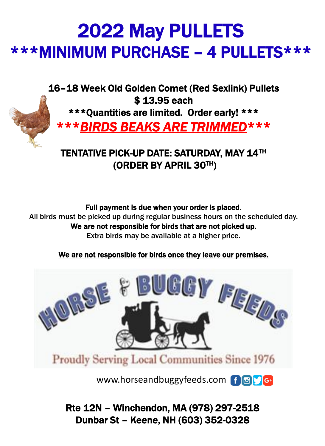# 2022 May PULLETS \*\*\*MINIMUM PURCHASE – 4 PULLETS\*\*\*

16–18 Week Old Golden Comet (Red Sexlink) Pullets \$ 13.95 each



\*\*\*Quantities are limited. Order early! \*\*\*

\*\*\**BIRDS BEAKS ARE TRIMMED*\*\*\*

TENTATIVE PICK-UP DATE: SATURDAY, MAY 14TH (ORDER BY APRIL 30TH)

#### Full payment is due when your order is placed.

All birds must be picked up during regular business hours on the scheduled day. We are not responsible for birds that are not picked up. Extra birds may be available at a higher price.

#### We are not responsible for birds once they leave our premises.



www.horseandbuggyfeeds.com f o s

Rte 12N – Winchendon, MA (978) 297-2518 Dunbar St – Keene, NH (603) 352-0328